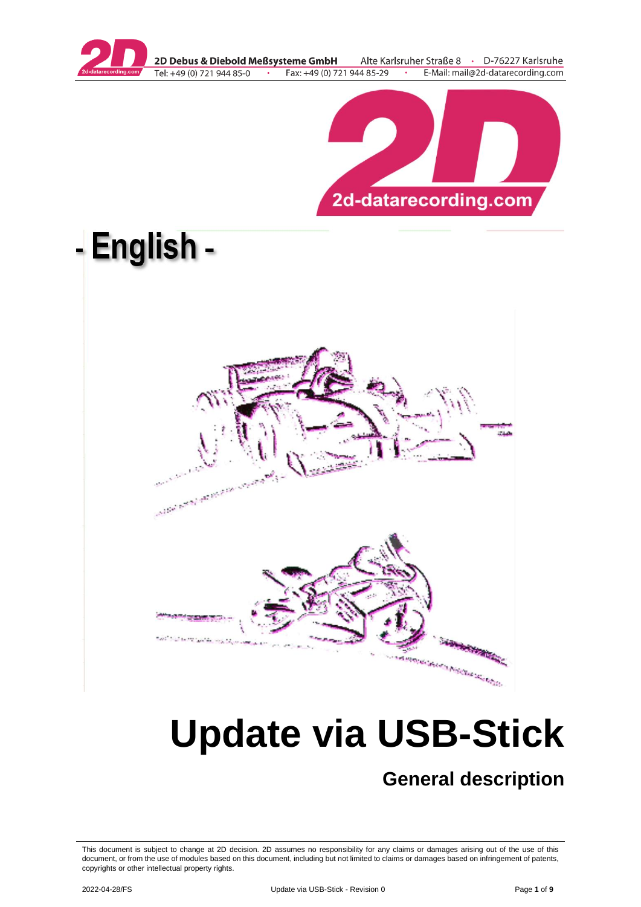

2D Debus & Diebold Meßsysteme GmbH Alte Karlsruher Straße 8 · D-76227 Karlsruhe Tel: +49 (0) 721 944 85-0 Fax: +49 (0) 721 944 85-29 E-Mail: mail@2d-datarecording.com





# **Update via USB-Stick**

# **General description**

This document is subject to change at 2D decision. 2D assumes no responsibility for any claims or damages arising out of the use of this document, or from the use of modules based on this document, including but not limited to claims or damages based on infringement of patents, copyrights or other intellectual property rights.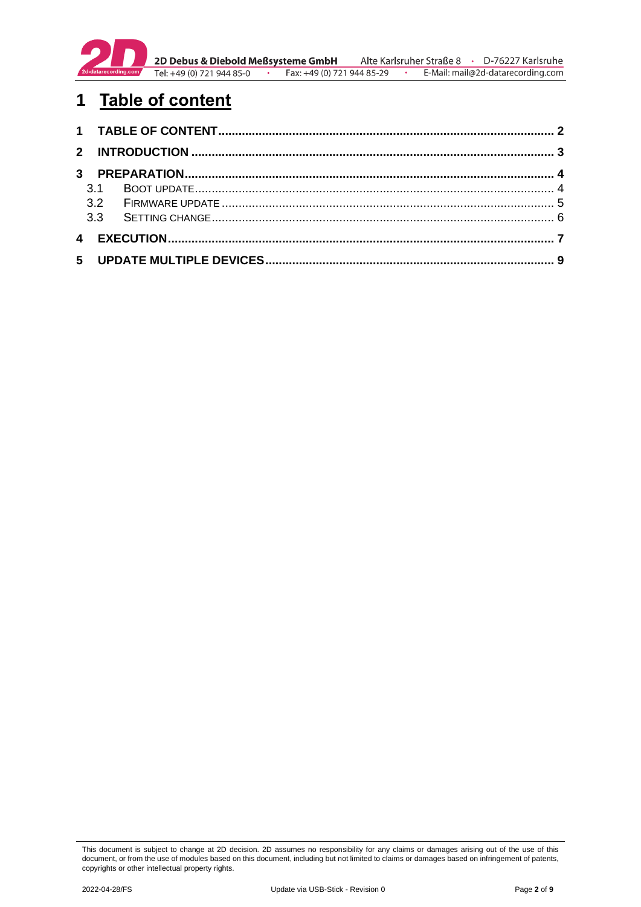

**2D Debus & Diebold Meßsysteme GmbH** Alte Karlsruher Straße 8 · D-76227 Karlsruhe<br>Tel: +49 (0) 721 944 85-0 · Fax: +49 (0) 721 944 85-29 · E-Mail: mail@2d-datarecording.com E-Mail: mail@2d-datarecording.com

# <span id="page-1-0"></span>**1 Table of content**

| 3.1 |  |  |  |
|-----|--|--|--|
|     |  |  |  |
|     |  |  |  |
|     |  |  |  |
|     |  |  |  |

This document is subject to change at 2D decision. 2D assumes no responsibility for any claims or damages arising out of the use of this document, or from the use of modules based on this document, including but not limited to claims or damages based on infringement of patents, copyrights or other intellectual property rights.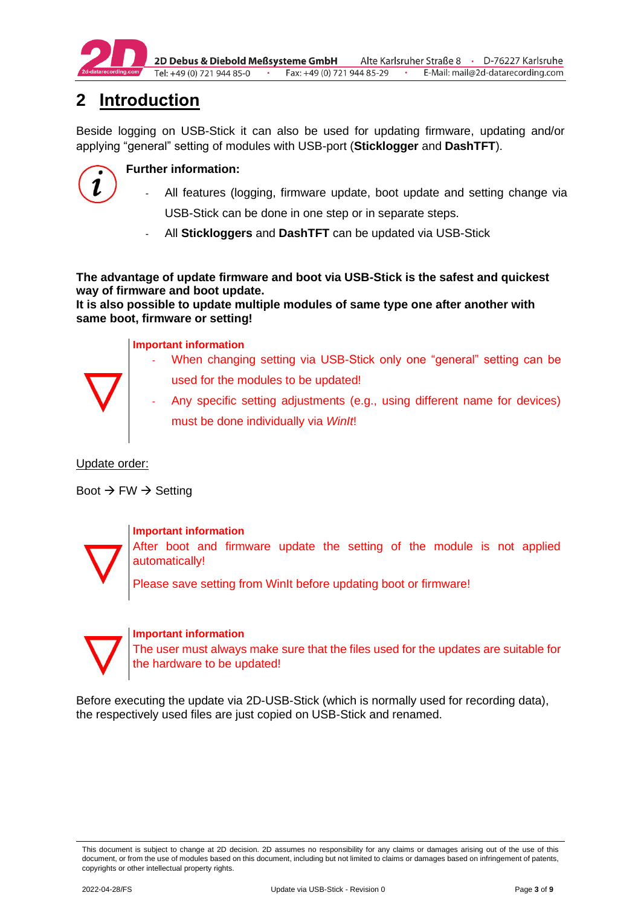

2D Debus & Diebold Meßsysteme GmbH Alte Karlsruher Straße 8 · D-76227 Karlsruhe Fax: +49 (0) 721 944 85-29 Tel: +49 (0) 721 944 85-0  $\cdot$ E-Mail: mail@2d-datarecording.com

# <span id="page-2-0"></span>**2 Introduction**

Beside logging on USB-Stick it can also be used for updating firmware, updating and/or applying "general" setting of modules with USB-port (**Sticklogger** and **DashTFT**).



# **Further information:**

- All features (logging, firmware update, boot update and setting change via USB-Stick can be done in one step or in separate steps.
- All **Stickloggers** and **DashTFT** can be updated via USB-Stick

**The advantage of update firmware and boot via USB-Stick is the safest and quickest way of firmware and boot update.**

**It is also possible to update multiple modules of same type one after another with same boot, firmware or setting!**

## **Important information**

- When changing setting via USB-Stick only one "general" setting can be
- used for the modules to be updated!
- Any specific setting adjustments (e.g., using different name for devices) must be done individually via *WinIt*!

## Update order:

Boot  $\rightarrow$  FW  $\rightarrow$  Setting



## **Important information**

After boot and firmware update the setting of the module is not applied automatically!

Please save setting from WinIt before updating boot or firmware!



## **Important information**

The user must always make sure that the files used for the updates are suitable for the hardware to be updated!

Before executing the update via 2D-USB-Stick (which is normally used for recording data), the respectively used files are just copied on USB-Stick and renamed.

This document is subject to change at 2D decision. 2D assumes no responsibility for any claims or damages arising out of the use of this document, or from the use of modules based on this document, including but not limited to claims or damages based on infringement of patents, copyrights or other intellectual property rights.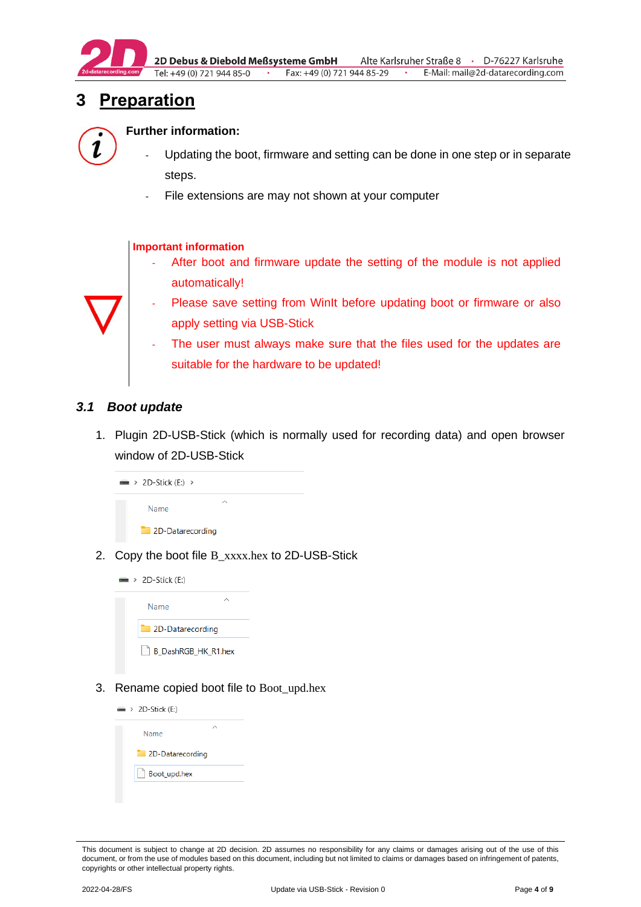

2D Debus & Diebold Meßsysteme GmbH Alte Karlsruher Straße 8 · D-76227 Karlsruhe Tel: +49 (0) 721 944 85-0 · Fax:  $+49(0)$  721 944 85-29 · E-Mail: mail@2d-datarecording.com

# <span id="page-3-0"></span>**3 Preparation**



#### **Further information:**

- Updating the boot, firmware and setting can be done in one step or in separate steps.
- File extensions are may not shown at your computer

#### **Important information**

After boot and firmware update the setting of the module is not applied automatically!



- Please save setting from WinIt before updating boot or firmware or also apply setting via USB-Stick
- The user must always make sure that the files used for the updates are suitable for the hardware to be updated!

#### <span id="page-3-1"></span>*3.1 Boot update*

1. Plugin 2D-USB-Stick (which is normally used for recording data) and open browser window of 2D-USB-Stick



2. Copy the boot file B\_xxxx.hex to 2D-USB-Stick



3. Rename copied boot file to Boot\_upd.hex



This document is subject to change at 2D decision. 2D assumes no responsibility for any claims or damages arising out of the use of this document, or from the use of modules based on this document, including but not limited to claims or damages based on infringement of patents, copyrights or other intellectual property rights.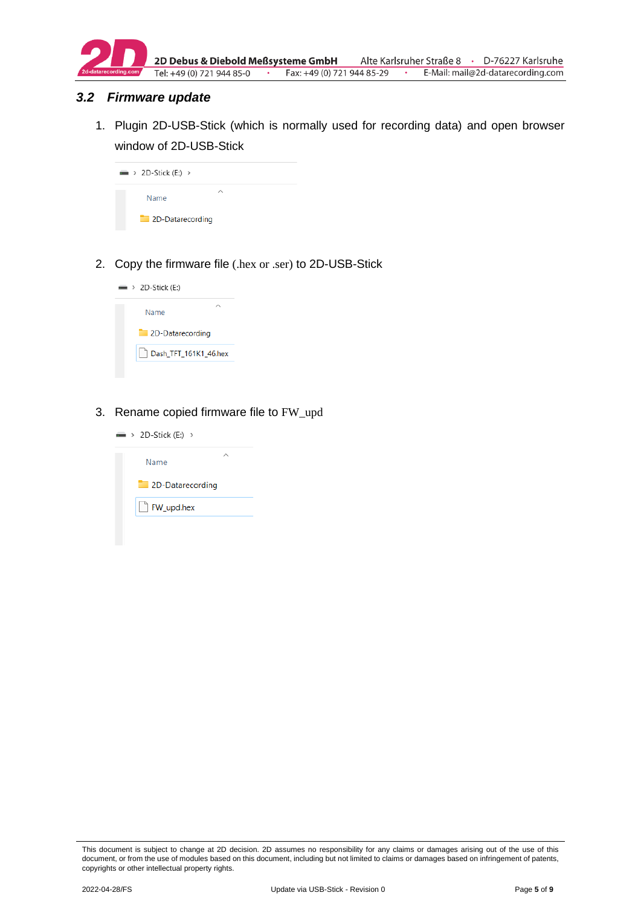

#### <span id="page-4-0"></span>*3.2 Firmware update*

1. Plugin 2D-USB-Stick (which is normally used for recording data) and open browser window of 2D-USB-Stick



2. Copy the firmware file (.hex or .ser) to 2D-USB-Stick



3. Rename copied firmware file to FW\_upd

| $\Rightarrow$ > 2D-Stick (E:) > |  |
|---------------------------------|--|
| Name                            |  |
| 2D-Datarecording                |  |
| FW_upd.hex                      |  |
|                                 |  |

This document is subject to change at 2D decision. 2D assumes no responsibility for any claims or damages arising out of the use of this document, or from the use of modules based on this document, including but not limited to claims or damages based on infringement of patents, copyrights or other intellectual property rights.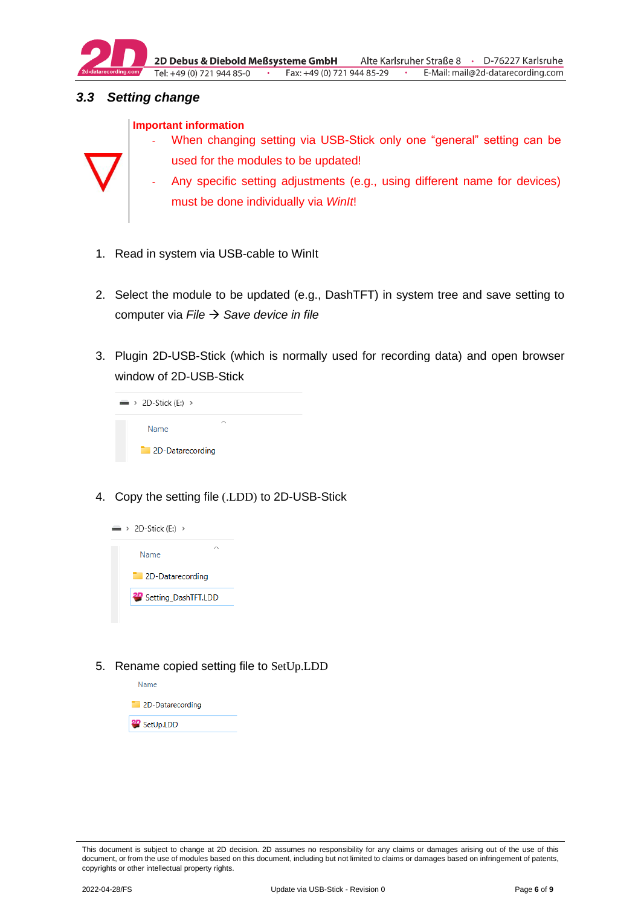

# <span id="page-5-0"></span>*3.3 Setting change*





- When changing setting via USB-Stick only one "general" setting can be used for the modules to be updated!
- Any specific setting adjustments (e.g., using different name for devices) must be done individually via *WinIt*!
- 1. Read in system via USB-cable to WinIt
- 2. Select the module to be updated (e.g., DashTFT) in system tree and save setting to computer via *File* → *Save device in file*
- 3. Plugin 2D-USB-Stick (which is normally used for recording data) and open browser window of 2D-USB-Stick



4. Copy the setting file (.LDD) to 2D-USB-Stick



5. Rename copied setting file to SetUp.LDD



This document is subject to change at 2D decision. 2D assumes no responsibility for any claims or damages arising out of the use of this document, or from the use of modules based on this document, including but not limited to claims or damages based on infringement of patents, copyrights or other intellectual property rights.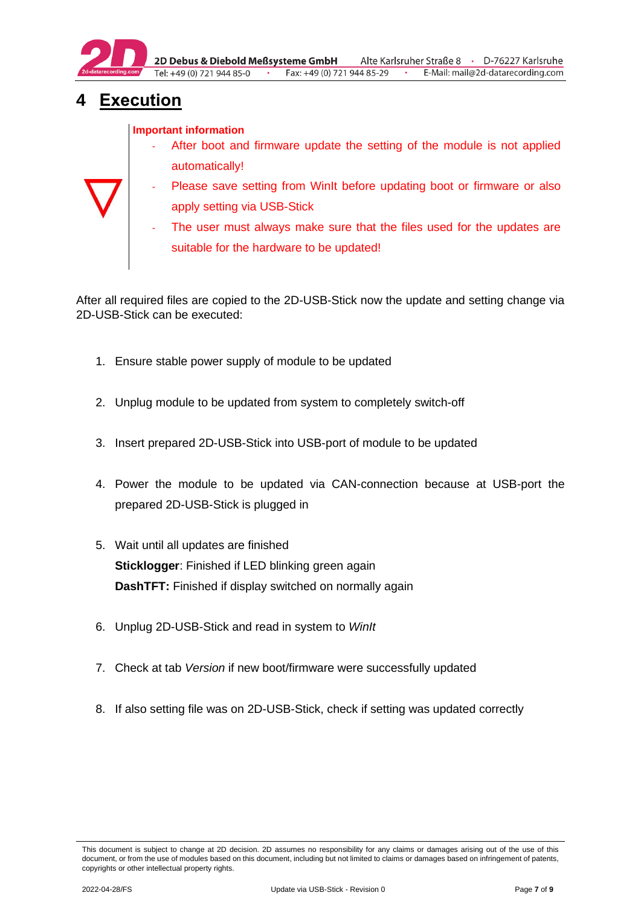

# <span id="page-6-0"></span>**4 Execution**

### **Important information**

- After boot and firmware update the setting of the module is not applied automatically!
- Please save setting from WinIt before updating boot or firmware or also apply setting via USB-Stick
	- The user must always make sure that the files used for the updates are suitable for the hardware to be updated!

After all required files are copied to the 2D-USB-Stick now the update and setting change via 2D-USB-Stick can be executed:

- 1. Ensure stable power supply of module to be updated
- 2. Unplug module to be updated from system to completely switch-off
- 3. Insert prepared 2D-USB-Stick into USB-port of module to be updated
- 4. Power the module to be updated via CAN-connection because at USB-port the prepared 2D-USB-Stick is plugged in
- 5. Wait until all updates are finished **Sticklogger**: Finished if LED blinking green again **DashTFT:** Finished if display switched on normally again
- 6. Unplug 2D-USB-Stick and read in system to *WinIt*
- 7. Check at tab *Version* if new boot/firmware were successfully updated
- 8. If also setting file was on 2D-USB-Stick, check if setting was updated correctly

This document is subject to change at 2D decision. 2D assumes no responsibility for any claims or damages arising out of the use of this document, or from the use of modules based on this document, including but not limited to claims or damages based on infringement of patents, copyrights or other intellectual property rights.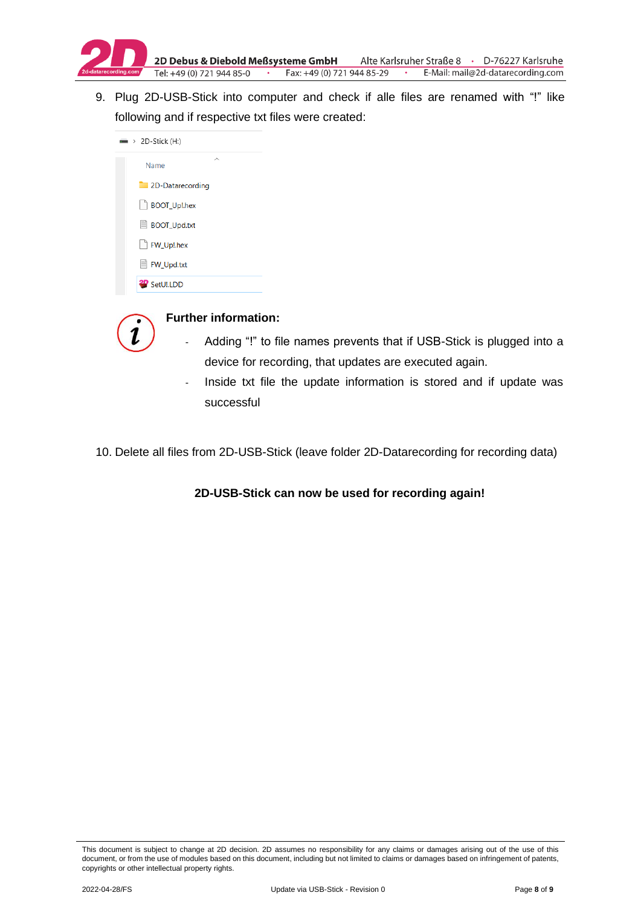

9. Plug 2D-USB-Stick into computer and check if alle files are renamed with "!" like following and if respective txt files were created:

| $\rightarrow$ 2D-Stick (H:) |   |
|-----------------------------|---|
| Name                        | ⌒ |
| 2D-Datarecording            |   |
| BOOT_Up!.hex                |   |
| ■ BOOT_Upd.txt              |   |
| FW_Up!.hex                  |   |
| ■ FW_Upd.txt                |   |
| <b><i>setUl.LDD</i></b>     |   |



#### **Further information:**

- Adding "!" to file names prevents that if USB-Stick is plugged into a device for recording, that updates are executed again.
- Inside txt file the update information is stored and if update was successful
- 10. Delete all files from 2D-USB-Stick (leave folder 2D-Datarecording for recording data)

## **2D-USB-Stick can now be used for recording again!**

This document is subject to change at 2D decision. 2D assumes no responsibility for any claims or damages arising out of the use of this document, or from the use of modules based on this document, including but not limited to claims or damages based on infringement of patents, copyrights or other intellectual property rights.